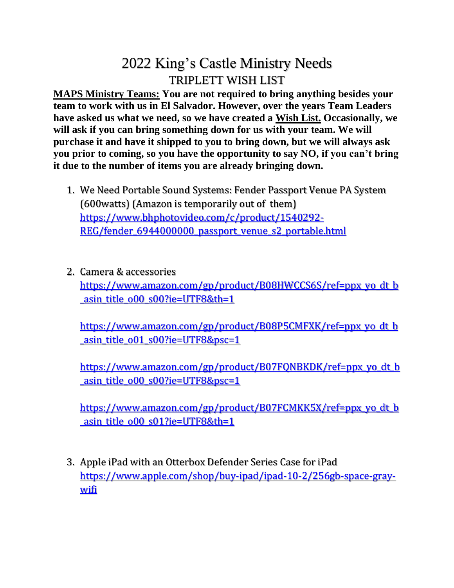## 2022 King's Castle Ministry Needs TRIPLETT WISH LIST

**MAPS Ministry Teams: You are not required to bring anything besides your team to work with us in El Salvador. However, over the years Team Leaders have asked us what we need, so we have created a Wish List. Occasionally, we will ask if you can bring something down for us with your team. We will purchase it and have it shipped to you to bring down, but we will always ask you prior to coming, so you have the opportunity to say NO, if you can't bring it due to the number of items you are already bringing down.** 

- 1. We Need Portable Sound Systems: Fender Passport Venue PA System (600watts) (Amazon is temporarily out of them) [https://www.bhphotovideo.com/c/product/1540292-](https://www.bhphotovideo.com/c/product/1540292-REG/fender_6944000000_passport_venue_s2_portable.html) REG/fender 6944000000 passport venue s2 portable.html
- 2. Camera & accessories [https://www.amazon.com/gp/product/B08HWCCS6S/ref=ppx\\_yo\\_dt\\_b](https://www.amazon.com/gp/product/B08HWCCS6S/ref=ppx_yo_dt_b_asin_title_o00_s00?ie=UTF8&th=1) asin\_title\_o00\_s00?ie=UTF8&th=1

[https://www.amazon.com/gp/product/B08P5CMFXK/ref=ppx\\_yo\\_dt\\_b](https://www.amazon.com/gp/product/B08P5CMFXK/ref=ppx_yo_dt_b_asin_title_o01_s00?ie=UTF8&psc=1) asin\_title\_o01\_s00?ie=UTF8&psc=1

[https://www.amazon.com/gp/product/B07FQNBKDK/ref=ppx\\_yo\\_dt\\_b](https://www.amazon.com/gp/product/B07FQNBKDK/ref=ppx_yo_dt_b_asin_title_o00_s00?ie=UTF8&psc=1) asin\_title\_o00\_s00?ie=UTF8&psc=1

[https://www.amazon.com/gp/product/B07FCMKK5X/ref=ppx\\_yo\\_dt\\_b](https://www.amazon.com/gp/product/B07FCMKK5X/ref=ppx_yo_dt_b_asin_title_o00_s01?ie=UTF8&th=1) asin\_title\_o00\_s01?ie=UTF8&th=1

3. Apple iPad with an Otterbox Defender Series Case for iPad [https://www.apple.com/shop/buy-ipad/ipad-10-2/256gb-space-gray](https://www.apple.com/shop/buy-ipad/ipad-10-2/256gb-space-gray-wifi)[wifi](https://www.apple.com/shop/buy-ipad/ipad-10-2/256gb-space-gray-wifi)